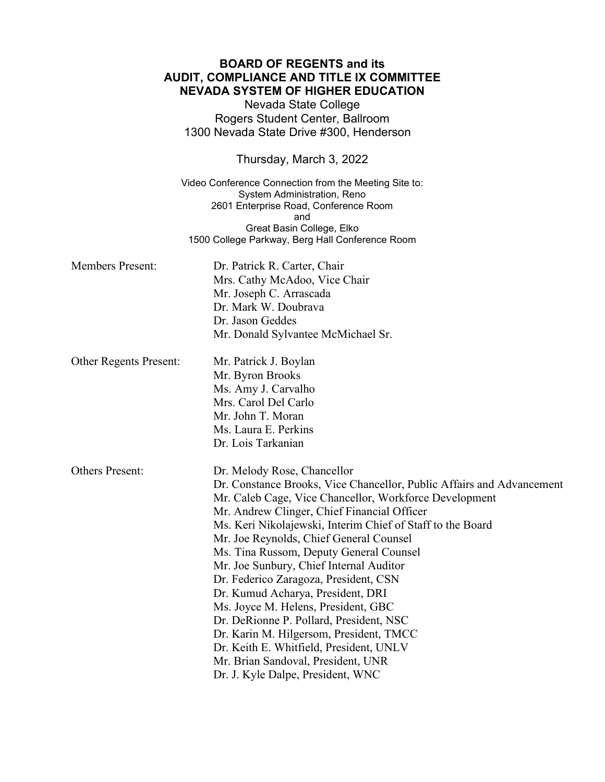## **BOARD OF REGENTS and its AUDIT, COMPLIANCE AND TITLE IX COMMITTEE NEVADA SYSTEM OF HIGHER EDUCATION**

Nevada State College Rogers Student Center, Ballroom 1300 Nevada State Drive #300, Henderson

Thursday, March 3, 2022

Video Conference Connection from the Meeting Site to: System Administration, Reno 2601 Enterprise Road, Conference Room and Great Basin College, Elko 1500 College Parkway, Berg Hall Conference Room

| <b>Members Present:</b>       | Dr. Patrick R. Carter, Chair<br>Mrs. Cathy McAdoo, Vice Chair<br>Mr. Joseph C. Arrascada<br>Dr. Mark W. Doubrava<br>Dr. Jason Geddes<br>Mr. Donald Sylvantee McMichael Sr.                                                                                                                                                                                                                                                                                                                                                                                                                                                                                                                                                                    |  |
|-------------------------------|-----------------------------------------------------------------------------------------------------------------------------------------------------------------------------------------------------------------------------------------------------------------------------------------------------------------------------------------------------------------------------------------------------------------------------------------------------------------------------------------------------------------------------------------------------------------------------------------------------------------------------------------------------------------------------------------------------------------------------------------------|--|
| <b>Other Regents Present:</b> | Mr. Patrick J. Boylan<br>Mr. Byron Brooks<br>Ms. Amy J. Carvalho<br>Mrs. Carol Del Carlo<br>Mr. John T. Moran<br>Ms. Laura E. Perkins<br>Dr. Lois Tarkanian                                                                                                                                                                                                                                                                                                                                                                                                                                                                                                                                                                                   |  |
| <b>Others Present:</b>        | Dr. Melody Rose, Chancellor<br>Dr. Constance Brooks, Vice Chancellor, Public Affairs and Advancement<br>Mr. Caleb Cage, Vice Chancellor, Workforce Development<br>Mr. Andrew Clinger, Chief Financial Officer<br>Ms. Keri Nikolajewski, Interim Chief of Staff to the Board<br>Mr. Joe Reynolds, Chief General Counsel<br>Ms. Tina Russom, Deputy General Counsel<br>Mr. Joe Sunbury, Chief Internal Auditor<br>Dr. Federico Zaragoza, President, CSN<br>Dr. Kumud Acharya, President, DRI<br>Ms. Joyce M. Helens, President, GBC<br>Dr. DeRionne P. Pollard, President, NSC<br>Dr. Karin M. Hilgersom, President, TMCC<br>Dr. Keith E. Whitfield, President, UNLV<br>Mr. Brian Sandoval, President, UNR<br>Dr. J. Kyle Dalpe, President, WNC |  |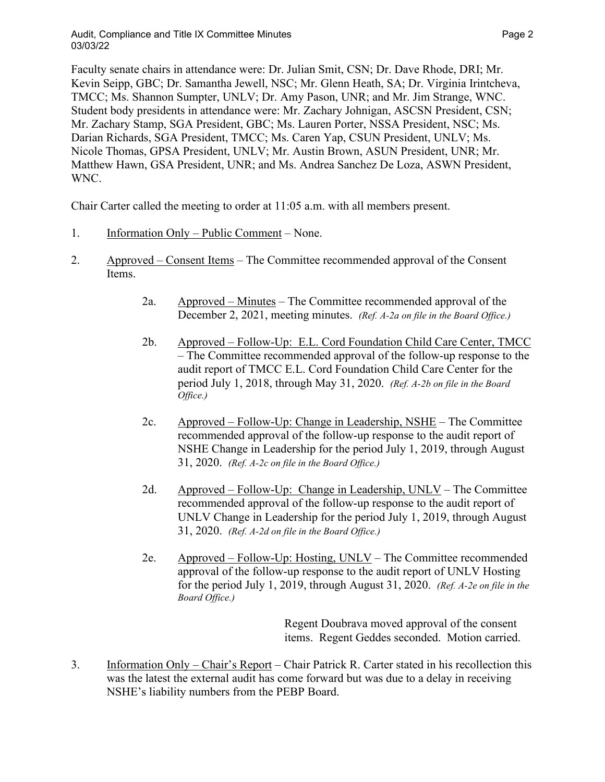Faculty senate chairs in attendance were: Dr. Julian Smit, CSN; Dr. Dave Rhode, DRI; Mr. Kevin Seipp, GBC; Dr. Samantha Jewell, NSC; Mr. Glenn Heath, SA; Dr. Virginia Irintcheva, TMCC; Ms. Shannon Sumpter, UNLV; Dr. Amy Pason, UNR; and Mr. Jim Strange, WNC. Student body presidents in attendance were: Mr. Zachary Johnigan, ASCSN President, CSN; Mr. Zachary Stamp, SGA President, GBC; Ms. Lauren Porter, NSSA President, NSC; Ms. Darian Richards, SGA President, TMCC; Ms. Caren Yap, CSUN President, UNLV; Ms. Nicole Thomas, GPSA President, UNLV; Mr. Austin Brown, ASUN President, UNR; Mr. Matthew Hawn, GSA President, UNR; and Ms. Andrea Sanchez De Loza, ASWN President, WNC.

Chair Carter called the meeting to order at 11:05 a.m. with all members present.

- 1. Information Only Public Comment None.
- 2. Approved Consent Items The Committee recommended approval of the Consent Items.
	- 2a. Approved Minutes The Committee recommended approval of the December 2, 2021, meeting minutes. *(Ref. A-2a on file in the Board Office.)*
	- 2b. Approved Follow-Up: E.L. Cord Foundation Child Care Center, TMCC – The Committee recommended approval of the follow-up response to the audit report of TMCC E.L. Cord Foundation Child Care Center for the period July 1, 2018, through May 31, 2020. *(Ref. A-2b on file in the Board Office.)*
	- 2c. Approved Follow-Up: Change in Leadership, NSHE The Committee recommended approval of the follow-up response to the audit report of NSHE Change in Leadership for the period July 1, 2019, through August 31, 2020. *(Ref. A-2c on file in the Board Office.)*
	- 2d. Approved Follow-Up: Change in Leadership, UNLV The Committee recommended approval of the follow-up response to the audit report of UNLV Change in Leadership for the period July 1, 2019, through August 31, 2020. *(Ref. A-2d on file in the Board Office.)*
	- 2e. Approved Follow-Up: Hosting, UNLV The Committee recommended approval of the follow-up response to the audit report of UNLV Hosting for the period July 1, 2019, through August 31, 2020. *(Ref. A-2e on file in the Board Office.)*

Regent Doubrava moved approval of the consent items. Regent Geddes seconded. Motion carried.

3. Information Only – Chair's Report – Chair Patrick R. Carter stated in his recollection this was the latest the external audit has come forward but was due to a delay in receiving NSHE's liability numbers from the PEBP Board.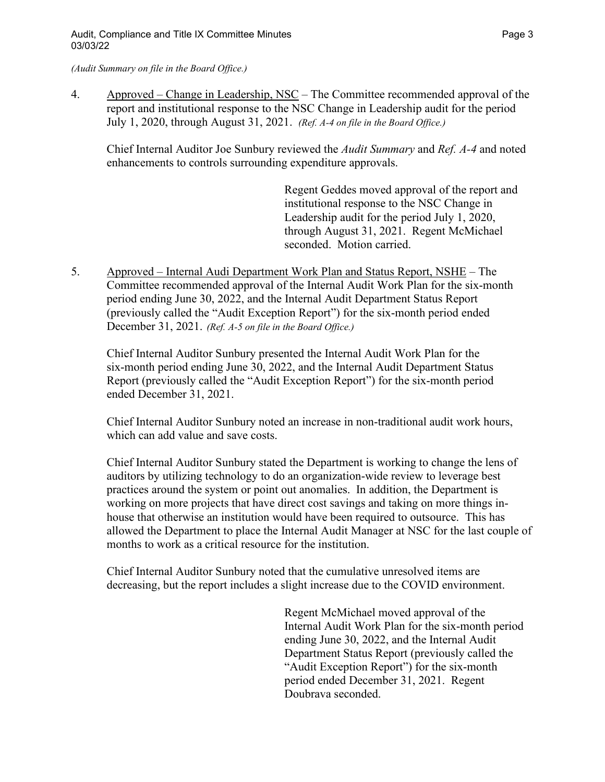*(Audit Summary on file in the Board Office.)*

4. Approved – Change in Leadership, NSC – The Committee recommended approval of the report and institutional response to the NSC Change in Leadership audit for the period July 1, 2020, through August 31, 2021. *(Ref. A-4 on file in the Board Office.)*

Chief Internal Auditor Joe Sunbury reviewed the *Audit Summary* and *Ref. A-4* and noted enhancements to controls surrounding expenditure approvals.

> Regent Geddes moved approval of the report and institutional response to the NSC Change in Leadership audit for the period July 1, 2020, through August 31, 2021. Regent McMichael seconded. Motion carried.

5. Approved – Internal Audi Department Work Plan and Status Report, NSHE – The Committee recommended approval of the Internal Audit Work Plan for the six-month period ending June 30, 2022, and the Internal Audit Department Status Report (previously called the "Audit Exception Report") for the six-month period ended December 31, 2021. *(Ref. A-5 on file in the Board Office.)*

Chief Internal Auditor Sunbury presented the Internal Audit Work Plan for the six-month period ending June 30, 2022, and the Internal Audit Department Status Report (previously called the "Audit Exception Report") for the six-month period ended December 31, 2021.

Chief Internal Auditor Sunbury noted an increase in non-traditional audit work hours, which can add value and save costs.

Chief Internal Auditor Sunbury stated the Department is working to change the lens of auditors by utilizing technology to do an organization-wide review to leverage best practices around the system or point out anomalies. In addition, the Department is working on more projects that have direct cost savings and taking on more things inhouse that otherwise an institution would have been required to outsource. This has allowed the Department to place the Internal Audit Manager at NSC for the last couple of months to work as a critical resource for the institution.

Chief Internal Auditor Sunbury noted that the cumulative unresolved items are decreasing, but the report includes a slight increase due to the COVID environment.

> Regent McMichael moved approval of the Internal Audit Work Plan for the six-month period ending June 30, 2022, and the Internal Audit Department Status Report (previously called the "Audit Exception Report") for the six-month period ended December 31, 2021. Regent Doubrava seconded.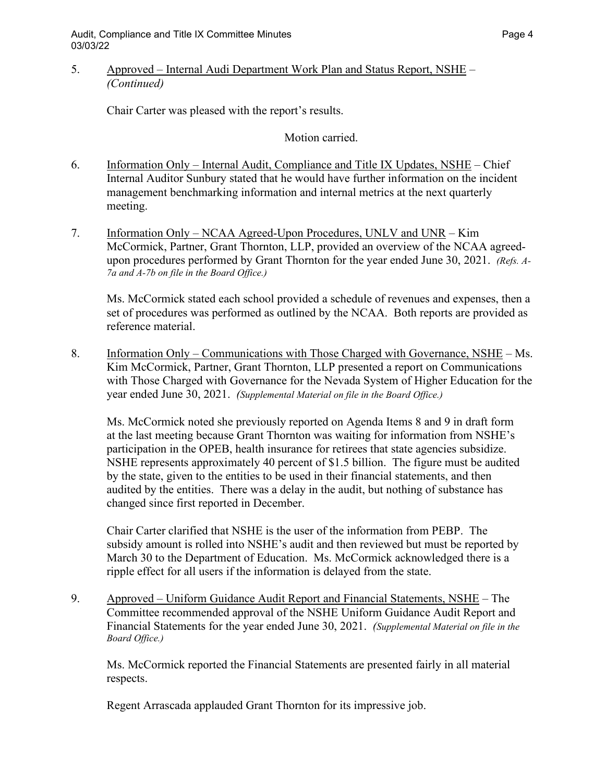## 5. Approved – Internal Audi Department Work Plan and Status Report, NSHE – *(Continued)*

Chair Carter was pleased with the report's results.

Motion carried.

- 6. Information Only Internal Audit, Compliance and Title IX Updates, NSHE Chief Internal Auditor Sunbury stated that he would have further information on the incident management benchmarking information and internal metrics at the next quarterly meeting.
- 7. Information Only NCAA Agreed-Upon Procedures, UNLV and UNR Kim McCormick, Partner, Grant Thornton, LLP, provided an overview of the NCAA agreedupon procedures performed by Grant Thornton for the year ended June 30, 2021. *(Refs. A-7a and A-7b on file in the Board Office.)*

Ms. McCormick stated each school provided a schedule of revenues and expenses, then a set of procedures was performed as outlined by the NCAA. Both reports are provided as reference material.

8. Information Only – Communications with Those Charged with Governance, NSHE – Ms. Kim McCormick, Partner, Grant Thornton, LLP presented a report on Communications with Those Charged with Governance for the Nevada System of Higher Education for the year ended June 30, 2021. *(Supplemental Material on file in the Board Office.)*

Ms. McCormick noted she previously reported on Agenda Items 8 and 9 in draft form at the last meeting because Grant Thornton was waiting for information from NSHE's participation in the OPEB, health insurance for retirees that state agencies subsidize. NSHE represents approximately 40 percent of \$1.5 billion. The figure must be audited by the state, given to the entities to be used in their financial statements, and then audited by the entities. There was a delay in the audit, but nothing of substance has changed since first reported in December.

Chair Carter clarified that NSHE is the user of the information from PEBP. The subsidy amount is rolled into NSHE's audit and then reviewed but must be reported by March 30 to the Department of Education. Ms. McCormick acknowledged there is a ripple effect for all users if the information is delayed from the state.

9. Approved – Uniform Guidance Audit Report and Financial Statements, NSHE – The Committee recommended approval of the NSHE Uniform Guidance Audit Report and Financial Statements for the year ended June 30, 2021. *(Supplemental Material on file in the Board Office.)*

Ms. McCormick reported the Financial Statements are presented fairly in all material respects.

Regent Arrascada applauded Grant Thornton for its impressive job.